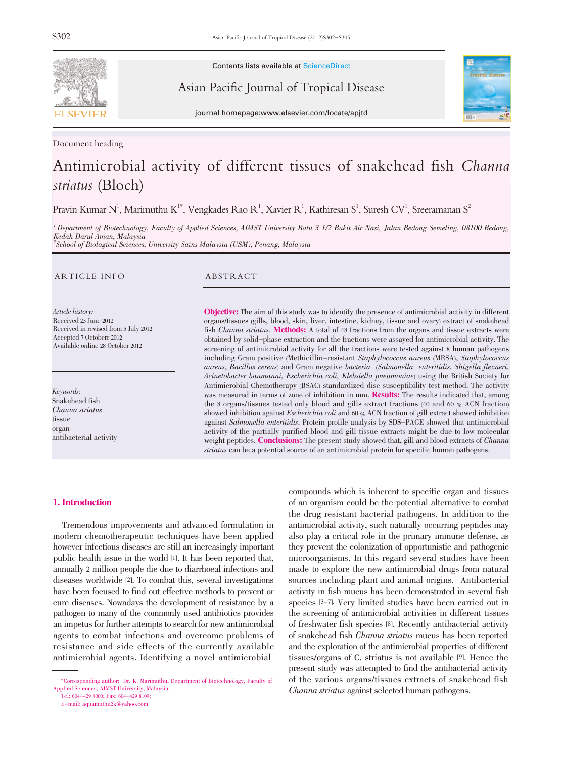

Document heading

Contents lists available at ScienceDirect

Asian Pacific Journal of Tropical Disease



journal homepage:www.elsevier.com/locate/apjtd

# Antimicrobial activity of different tissues of snakehead fish Channa striatus (Bloch)

Pravin Kumar N $^1$ , Marimuthu K $^{1*}$ , Vengkades Rao R $^1$ , Xavier R $^1$ , Kathiresan S $^1$ , Suresh CV $^1$ , Sreeramanan S $^2$ 

<sup>1</sup> Department of Biotechnology, Faculty of Applied Sciences, AIMST University Batu 3 1/2 Bukit Air Nasi, Jalan Bedong Semeling, 08100 Bedong, Kedah Darul Aman, Malaysia <sup>2</sup>School of Biological Sciences, University Sains Malaysia (USM), Penang, Malaysia

#### ARTICLE INFO ABSTRACT

Article history: Received 25 June 2012 Received in revised from 5 July 2012 Accepted 7 Octoberr 2012 Available online 28 October 2012

Keywords: Snakehead fish Channa striatus tissue organ antibacterial activity

Objective: The aim of this study was to identify the presence of antimicrobial activity in different organs/tissues (gills, blood, skin, liver, intestine, kidney, tissue and ovary) extract of snakehead fish Channa striatus. Methods: A total of 48 fractions from the organs and tissue extracts were obtained by solid-phase extraction and the fractions were assayed for antimicrobial activity. The screening of antimicrobial activity for all the fractions were tested against 8 human pathogens including Gram positive (Methicillin-resistant Staphylococcus aureus (MRSA), Staphylococcus aureus, Bacillus cereus) and Gram negative bacteria (Salmonella enteritidis, Shigella flexneri, Acinetobacter baumanni, Escherichia coli, Klebsiella pneumoniae) using the British Society for Antimicrobial Chemotherapy (BSAC) standardized disc susceptibility test method. The activity was measured in terms of zone of inhibition in mm. **Results:** The results indicated that, among the 8 organs/tissues tested only blood and gills extract fractions (40 and 60 % ACN fraction) showed inhibition against Escherichia coli and <sup>60</sup> % ACN fraction of gill extract showed inhibition against Salmonella enteritidis. Protein profile analysis by SDS-PAGE showed that antimicrobial activity of the partially purified blood and gill tissue extracts might be due to low molecular weight peptides. Conclusions: The present study showed that, gill and blood extracts of *Channa* striatus can be a potential source of an antimicrobial protein for specific human pathogens.

#### 1. Introduction

Tremendous improvements and advanced formulation in modern chemotherapeutic techniques have been applied however infectious diseases are still an increasingly important public health issue in the world [1]. It has been reported that, annually 2 million people die due to diarrhoeal infections and diseases worldwide [2]. To combat this, several investigations have been focused to find out effective methods to prevent or cure diseases. Nowadays the development of resistance by a pathogen to many of the commonly used antibiotics provides an impetus for further attempts to search for new antimicrobial agents to combat infections and overcome problems of resistance and side effects of the currently available antimicrobial agents. Identifying a novel antimicrobial

Tel: 604-429 8000; Fax: 604-429 8109;

E-mail: aquamuthu2k@yahoo.com

compounds which is inherent to specific organ and tissues of an organism could be the potential alternative to combat the drug resistant bacterial pathogens. In addition to the antimicrobial activity, such naturally occurring peptides may also play a critical role in the primary immune defense, as they prevent the colonization of opportunistic and pathogenic microorganisms. In this regard several studies have been made to explore the new antimicrobial drugs from natural sources including plant and animal origins. Antibacterial activity in fish mucus has been demonstrated in several fish species [3-7]. Very limited studies have been carried out in the screening of antimicrobial activities in different tissues of freshwater fish species [8]. Recently antibacterial activity of snakehead fish Channa striatus mucus has been reported and the exploration of the antimicrobial properties of different tissues/organs of C. striatus is not available [9]. Hence the present study was attempted to find the antibacterial activity of the various organs/tissues extracts of snakehead fish Channa striatus against selected human pathogens.

<sup>\*</sup>Corresponding author: Dr. K. Marimuthu, Department of Biotechnology, Faculty of Applied Sciences, AIMST University, Malaysia.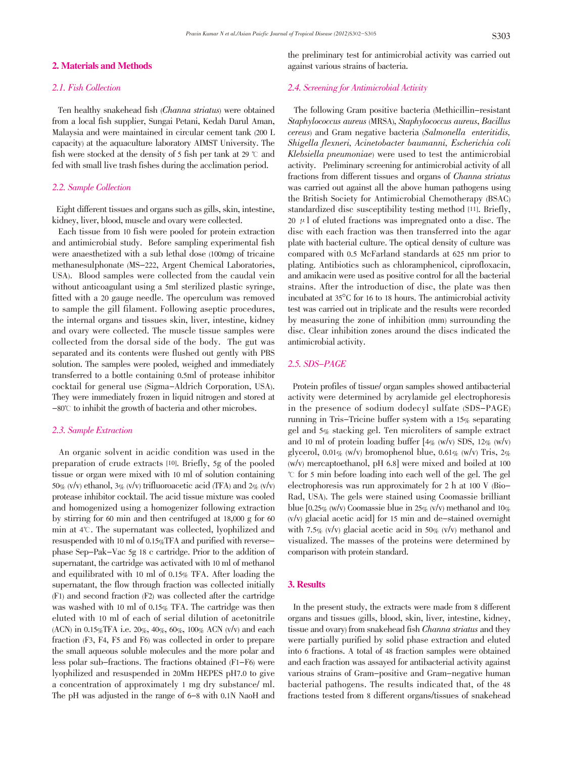#### 2. Materials and Methods

#### 2.1. Fish Collection

Ten healthy snakehead fish (Channa striatus) were obtained from a local fish supplier, Sungai Petani, Kedah Darul Aman, Malaysia and were maintained in circular cement tank (200 L capacity) at the aquaculture laboratory AIMST University. The fish were stocked at the density of 5 fish per tank at 29  $\degree$  c and fed with small live trash fishes during the acclimation period.

### 2.2. Sample Collection

Eight different tissues and organs such as gills, skin, intestine, kidney, liver, blood, muscle and ovary were collected.

Each tissue from 10 fish were pooled for protein extraction and antimicrobial study. Before sampling experimental fish were anaesthetized with a sub lethal dose (100mg) of tricaine methanesulphonate (MS-222, Argent Chemical Laboratories, USA). Blood samples were collected from the caudal vein without anticoagulant using a 5ml sterilized plastic syringe, fitted with a 20 gauge needle. The operculum was removed to sample the gill filament. Following aseptic procedures, the internal organs and tissues skin, liver, intestine, kidney and ovary were collected. The muscle tissue samples were collected from the dorsal side of the body. The gut was separated and its contents were flushed out gently with PBS solution. The samples were pooled, weighed and immediately transferred to a bottle containing 0.5ml of protease inhibitor cocktail for general use (Sigma-Aldrich Corporation, USA). They were immediately frozen in liquid nitrogen and stored at  $-80^{\circ}$  to inhibit the growth of bacteria and other microbes.

#### 2.3. Sample Extraction

An organic solvent in acidic condition was used in the preparation of crude extracts [10]. Briefly, 5g of the pooled tissue or organ were mixed with 10 ml of solution containing 50% (v/v) ethanol,  $3\%$  (v/v) trifluoroacetic acid (TFA) and  $2\%$  (v/v) protease inhibitor cocktail. The acid tissue mixture was cooled and homogenized using a homogenizer following extraction by stirring for 60 min and then centrifuged at 18,000 g for 60 min at  $4^\circ$ C. The supernatant was collected, lyophilized and resuspended with 10 ml of 0.15%TFA and purified with reversephase Sep-Pak-Vac 5g 18 c cartridge. Prior to the addition of supernatant, the cartridge was activated with 10 ml of methanol and equilibrated with 10 ml of  $0.15\%$  TFA. After loading the supernatant, the flow through fraction was collected initially (F1) and second fraction (F2) was collected after the cartridge was washed with 10 ml of 0.15% TFA. The cartridge was then eluted with 10 ml of each of serial dilution of acetonitrile (ACN) in 0.15%TFA i.e. 20%, 40%, 60%, 100% ACN (v/v) and each fraction (F3, F4, F5 and F6) was collected in order to prepare the small aqueous soluble molecules and the more polar and less polar sub-fractions. The fractions obtained (F1-F6) were lyophilized and resuspended in 20Mm HEPES pH7.0 to give a concentration of approximately 1 mg dry substance/ ml. The pH was adjusted in the range of 6-8 with 0.1N NaoH and

the preliminary test for antimicrobial activity was carried out against various strains of bacteria.

#### 2.4. Screening for Antimicrobial Activity

The following Gram positive bacteria (Methicillin-resistant Staphylococcus aureus (MRSA), Staphylococcus aureus, Bacillus cereus) and Gram negative bacteria (Salmonella enteritidis, Shigella flexneri, Acinetobacter baumanni, Escherichia coli Klebsiella pneumoniae) were used to test the antimicrobial activity. Preliminary screening for antimicrobial activity of all fractions from different tissues and organs of Channa striatus was carried out against all the above human pathogens using the British Society for Antimicrobial Chemotherapy (BSAC) standardized disc susceptibility testing method [11]. Briefly, 20  $\mu$  of eluted fractions was impregnated onto a disc. The disc with each fraction was then transferred into the agar plate with bacterial culture. The optical density of culture was compared with 0.5 McFarland standards at 625 nm prior to plating. Antibiotics such as chloramphenicol, ciprofloxacin, and amikacin were used as positive control for all the bacterial strains. After the introduction of disc, the plate was then incubated at <sup>35</sup>°C for <sup>16</sup> to <sup>18</sup> hours. The antimicrobial activity test was carried out in triplicate and the results were recorded by measuring the zone of inhibition (mm) surrounding the disc. Clear inhibition zones around the discs indicated the antimicrobial activity.

#### 2.5. SDS-PAGE

Protein profiles of tissue/ organ samples showed antibacterial activity were determined by acrylamide gel electrophoresis in the presence of sodium dodecyl sulfate (SDS-PAGE) running in Tris-Tricine buffer system with a 15% separating gel and 5% stacking gel. Ten microliters of sample extract and 10 ml of protein loading buffer  $[4\% (w/v)$  SDS,  $12\% (w/v)$ glycerol, 0.01% (w/v) bromophenol blue, 0.61% (w/v) Tris,  $2\%$ (w/v) mercaptoethanol, pH 6.8] were mixed and boiled at 100 曟 for 5 min before loading into each well of the gel. The gel electrophoresis was run approximately for 2 h at 100 V (Bio-Rad, USA). The gels were stained using Coomassie brilliant blue  $[0.25\%$  (w/v) Coomassie blue in 25% (v/v) methanol and 10%  $(v/v)$  glacial acetic acid] for 15 min and de-stained overnight with 7.5% (v/v) glacial acetic acid in 50% (v/v) methanol and visualized. The masses of the proteins were determined by comparison with protein standard.

## 3. Results

In the present study, the extracts were made from 8 different organs and tissues (gills, blood, skin, liver, intestine, kidney, tissue and ovary) from snakehead fish Channa striatus and they were partially purified by solid phase extraction and eluted into 6 fractions. A total of 48 fraction samples were obtained and each fraction was assayed for antibacterial activity against various strains of Gram-positive and Gram-negative human bacterial pathogens. The results indicated that, of the 48 fractions tested from 8 different organs/tissues of snakehead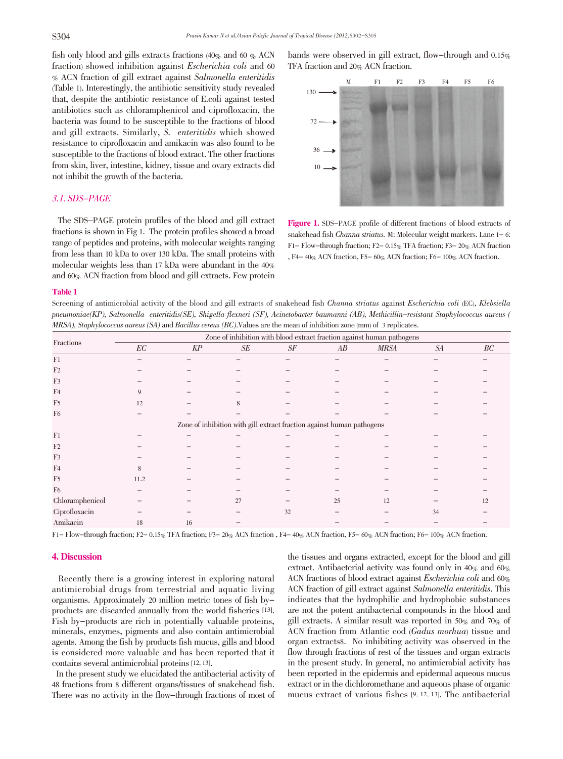fish only blood and gills extracts fractions  $(40\% \text{ and } 60 \% \text{ ACN})$ fraction) showed inhibition against Escherichia coli and <sup>60</sup> % ACN fraction of gill extract against Salmonella enteritidis (Table 1). Interestingly, the antibiotic sensitivity study revealed that, despite the antibiotic resistance of E.coli against tested antibiotics such as chloramphenicol and ciprofloxacin, the bacteria was found to be susceptible to the fractions of blood and gill extracts. Similarly, S. enteritidis which showed resistance to ciprofloxacin and amikacin was also found to be susceptible to the fractions of blood extract. The other fractions from skin, liver, intestine, kidney, tissue and ovary extracts did not inhibit the growth of the bacteria.

# 3.1. SDS-PAGE

The SDS-PAGE protein profiles of the blood and gill extract fractions is shown in Fig 1. The protein profiles showed a broad range of peptides and proteins, with molecular weights ranging from less than 10 kDa to over 130 kDa. The small proteins with molecular weights less than 17 kDa were abundant in the 40% and 60% ACN fraction from blood and gill extracts. Few protein

bands were observed in gill extract, flow-through and 0.15% TFA fraction and 20% ACN fraction.



Figure 1. SDS-PAGE profile of different fractions of blood extracts of snakehead fish Channa striatus. M: Molecular weight markers. Lane 1- 6: F1- Flow-through fraction; F2- 0.15% TFA fraction; F3- 20% ACN fraction , F4- 40% ACN fraction, F5- 60% ACN fraction; F6- 100% ACN fraction.

#### Table 1

Screening of antimicrobial activity of the blood and gill extracts of snakehead fish Channa striatus against Escherichia coli (EC), Klebsiella pneumoniae(KP), Salmonella enteritidis(SE), Shigella flexneri (SF), Acinetobacter baumanni (AB), Methicillin-resistant Staphylococcus aureus ( MRSA), Staphylococcus aureus (SA) and Bacillus cereus (BC).Values are the mean of inhibition zone (mm) of <sup>3</sup> replicates.

| Fractions       | Zone of inhibition with blood extract fraction against human pathogens |        |    |    |                                                                       |             |    |    |
|-----------------|------------------------------------------------------------------------|--------|----|----|-----------------------------------------------------------------------|-------------|----|----|
|                 | $\mathbb{E} \mathbb{C}$                                                | $K\!P$ | SE | SF | AB                                                                    | <b>MRSA</b> | SA | BC |
| F <sub>1</sub>  |                                                                        |        |    |    |                                                                       |             |    |    |
| F <sub>2</sub>  |                                                                        |        |    |    |                                                                       |             |    |    |
| F3              |                                                                        |        |    |    |                                                                       |             |    |    |
| F <sub>4</sub>  | 9                                                                      |        |    |    |                                                                       |             |    |    |
| F <sub>5</sub>  | 12                                                                     |        | 8  |    |                                                                       |             |    |    |
| F <sub>6</sub>  |                                                                        |        |    |    |                                                                       |             |    |    |
|                 |                                                                        |        |    |    | Zone of inhibition with gill extract fraction against human pathogens |             |    |    |
| F <sub>1</sub>  |                                                                        |        |    |    |                                                                       |             |    |    |
| F <sub>2</sub>  |                                                                        |        |    |    |                                                                       |             |    |    |
| F3              |                                                                        |        |    |    |                                                                       |             |    |    |
| F <sub>4</sub>  | 8                                                                      |        |    |    |                                                                       |             |    |    |
| F <sub>5</sub>  | 11.2                                                                   |        |    |    |                                                                       |             |    |    |
| F <sub>6</sub>  |                                                                        |        |    |    |                                                                       |             |    |    |
| Chloramphenicol |                                                                        |        | 27 |    | 25                                                                    | 12          |    | 12 |
| Ciprofloxacin   |                                                                        |        |    | 32 |                                                                       |             | 34 |    |
| Amikacin        | 18                                                                     | 16     |    |    |                                                                       |             |    |    |

F1- Flow-through fraction; F2- 0.15% TFA fraction; F3- 20% ACN fraction , F4- 40% ACN fraction, F5- 60% ACN fraction; F6- 100% ACN fraction.

#### 4. Discussion

Recently there is a growing interest in exploring natural antimicrobial drugs from terrestrial and aquatic living organisms. Approximately 20 million metric tones of fish byproducts are discarded annually from the world fisheries [13]. Fish by-products are rich in potentially valuable proteins, minerals, enzymes, pigments and also contain antimicrobial agents. Among the fish by products fish mucus, gills and blood is considered more valuable and has been reported that it contains several antimicrobial proteins[12, 13].

In the present study we elucidated the antibacterial activity of 48 fractions from 8 different organs/tissues of snakehead fish. There was no activity in the flow-through fractions of most of

the tissues and organs extracted, except for the blood and gill extract. Antibacterial activity was found only in 40% and 60% ACN fractions of blood extract against Escherichia coli and 60% ACN fraction of gill extract against Salmonella enteritidis. This indicates that the hydrophilic and hydrophobic substances are not the potent antibacterial compounds in the blood and gill extracts. A similar result was reported in 50% and 70% of ACN fraction from Atlantic cod (Gadus morhua) tissue and organ extracts8. No inhibiting activity was observed in the flow through fractions of rest of the tissues and organ extracts in the present study. In general, no antimicrobial activity has been reported in the epidermis and epidermal aqueous mucus extract or in the dichloromethane and aqueous phase of organic mucus extract of various fishes [9, 12, 13]. The antibacterial